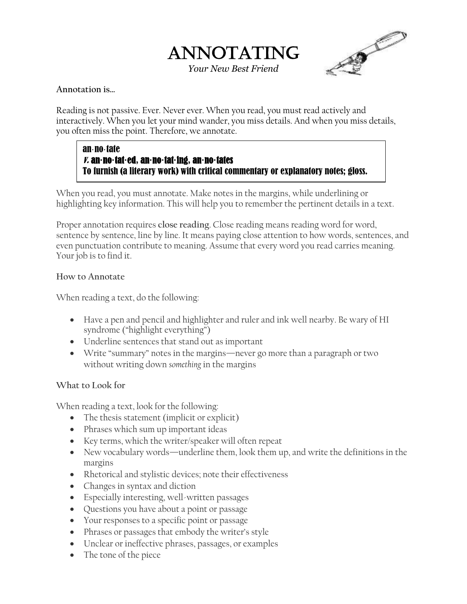



**Annotation is…**

Reading is not passive. Ever. Never ever. When you read, you must read actively and interactively. When you let your mind wander, you miss details. And when you miss details, you often miss the point. Therefore, we annotate.

### an·no·tate v. an**·**no**·**tat**·**ed, an**·**no**·**tat**·**ing, an**·**no**·**tates To furnish (a literary work) with critical commentary or explanatory notes; gloss.

When you read, you must annotate. Make notes in the margins, while underlining or highlighting key information. This will help you to remember the pertinent details in a text.

Proper annotation requires **close reading**. Close reading means reading word for word, sentence by sentence, line by line. It means paying close attention to how words, sentences, and even punctuation contribute to meaning. Assume that every word you read carries meaning. Your job is to find it.

## **How to Annotate**

When reading a text, do the following:

- Have a pen and pencil and highlighter and ruler and ink well nearby. Be wary of HI syndrome ("highlight everything")
- Underline sentences that stand out as important
- Write "summary" notes in the margins—never go more than a paragraph or two without writing down *something* in the margins

# **What to Look for**

When reading a text, look for the following:

- The thesis statement (implicit or explicit)
- Phrases which sum up important ideas
- Key terms, which the writer/speaker will often repeat
- New vocabulary words—underline them, look them up, and write the definitions in the margins
- Rhetorical and stylistic devices; note their effectiveness
- Changes in syntax and diction
- Especially interesting, well-written passages
- Questions you have about a point or passage
- Your responses to a specific point or passage
- Phrases or passages that embody the writer's style
- Unclear or ineffective phrases, passages, or examples
- The tone of the piece